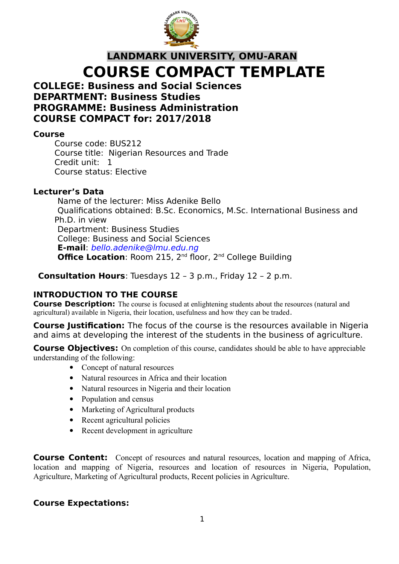

## **LANDMARK UNIVERSITY, OMU-ARAN COURSE COMPACT TEMPLATE**

#### **COLLEGE: Business and Social Sciences DEPARTMENT: Business Studies PROGRAMME: Business Administration COURSE COMPACT for: 2017/2018**

#### **Course**

Course code: BUS212 Course title: Nigerian Resources and Trade Credit unit: 1 Course status: Elective

#### **Lecturer's Data**

Name of the lecturer: Miss Adenike Bello Qualifications obtained: B.Sc. Economics, M.Sc. International Business and Ph.D. in view Department: Business Studies College: Business and Social Sciences **E-mail**: bello.adenike@lmu.edu.ng **Office Location: Room 215, 2<sup>nd</sup> floor, 2<sup>nd</sup> College Building** 

**Consultation Hours**: Tuesdays 12 – 3 p.m., Friday 12 – 2 p.m.

## **INTRODUCTION TO THE COURSE**

**Course Description:** The course is focused at enlightening students about the resources (natural and agricultural) available in Nigeria, their location, usefulness and how they can be traded.

**Course Justification:** The focus of the course is the resources available in Nigeria and aims at developing the interest of the students in the business of agriculture.

**Course Objectives:** On completion of this course, candidates should be able to have appreciable understanding of the following:

- Concept of natural resources
- Natural resources in Africa and their location
- Natural resources in Nigeria and their location
- Population and census
- Marketing of Agricultural products
- Recent agricultural policies
- Recent development in agriculture

**Course Content:** Concept of resources and natural resources, location and mapping of Africa, location and mapping of Nigeria, resources and location of resources in Nigeria, Population, Agriculture, Marketing of Agricultural products, Recent policies in Agriculture.

#### **Course Expectations:**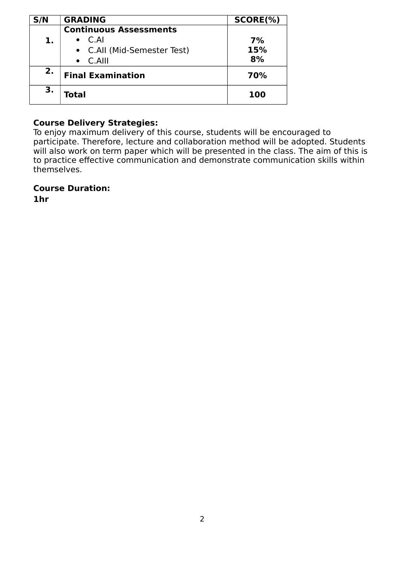| S/N | <b>GRADING</b>                | $SCORE(\%)$ |
|-----|-------------------------------|-------------|
|     | <b>Continuous Assessments</b> |             |
| 1.  | $\bullet$ C.AI                | 7%          |
|     | • C.All (Mid-Semester Test)   | 15%         |
|     | $\bullet$ C.Alll              | 8%          |
| 2.  | <b>Final Examination</b>      | 70%         |
| 3.  | Total                         | 100         |

#### **Course Delivery Strategies:**

To enjoy maximum delivery of this course, students will be encouraged to participate. Therefore, lecture and collaboration method will be adopted. Students will also work on term paper which will be presented in the class. The aim of this is to practice effective communication and demonstrate communication skills within themselves.

**Course Duration:** 

**1hr**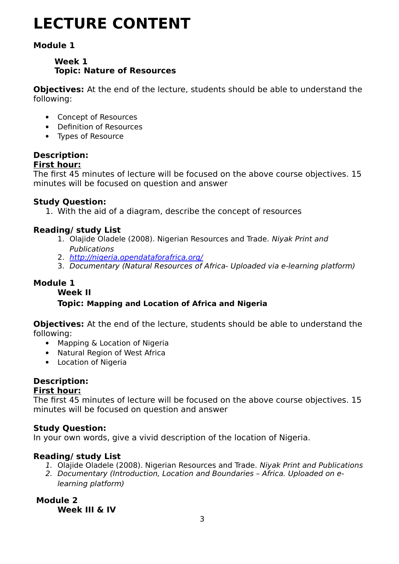# **LECTURE CONTENT**

## **Module 1**

## **Week 1 Topic: Nature of Resources**

**Objectives:** At the end of the lecture, students should be able to understand the following:

- Concept of Resources
- Definition of Resources
- Types of Resource

## **Description:**

**First hour:**

The first 45 minutes of lecture will be focused on the above course objectives. 15 minutes will be focused on question and answer

## **Study Question:**

1. With the aid of a diagram, describe the concept of resources

#### **Reading/ study List**

- 1. Olajide Oladele (2008). Nigerian Resources and Trade. Niyak Print and Publications
- 2. <http://nigeria.opendataforafrica.org/>
- 3. Documentary (Natural Resources of Africa- Uploaded via e-learning platform)

## **Module 1**

**Week II**

## **Topic: Mapping and Location of Africa and Nigeria**

**Objectives:** At the end of the lecture, students should be able to understand the following:

- Mapping & Location of Nigeria
- Natural Region of West Africa
- Location of Nigeria

## **Description:**

#### **First hour:**

The first 45 minutes of lecture will be focused on the above course objectives. 15 minutes will be focused on question and answer

## **Study Question:**

In your own words, give a vivid description of the location of Nigeria.

#### **Reading/ study List**

- 1. Olajide Oladele (2008). Nigerian Resources and Trade. Niyak Print and Publications
- 2. Documentary (Introduction, Location and Boundaries Africa. Uploaded on elearning platform)

#### **Module 2 Week III & IV**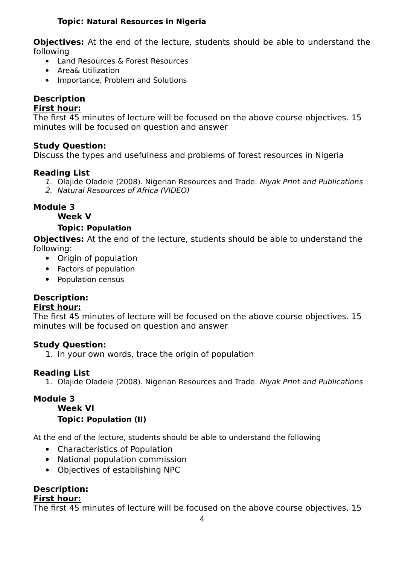#### **Topic: Natural Resources in Nigeria**

**Objectives:** At the end of the lecture, students should be able to understand the following

- Land Resources & Forest Resources
- Area& Utilization
- Importance, Problem and Solutions

## **Description**

#### **First hour:**

The first 45 minutes of lecture will be focused on the above course objectives. 15 minutes will be focused on question and answer

#### **Study Question:**

Discuss the types and usefulness and problems of forest resources in Nigeria

#### **Reading List**

- 1. Olajide Oladele (2008). Nigerian Resources and Trade. Niyak Print and Publications
- 2. Natural Resources of Africa (VIDEO)

#### **Module 3**

#### **Week V**

#### **Topic: Population**

**Objectives:** At the end of the lecture, students should be able to understand the following:

- Origin of population
- Factors of population
- Population census

#### **Description:**

#### **First hour:**

The first 45 minutes of lecture will be focused on the above course objectives. 15 minutes will be focused on question and answer

#### **Study Question:**

1. In your own words, trace the origin of population

#### **Reading List**

1. Olajide Oladele (2008). Nigerian Resources and Trade. Niyak Print and Publications

#### **Module 3**

#### **Week VI**

#### **Topic: Population (II)**

At the end of the lecture, students should be able to understand the following

- Characteristics of Population
- National population commission
- Objectives of establishing NPC

## **Description:**

#### **First hour:**

The first 45 minutes of lecture will be focused on the above course objectives. 15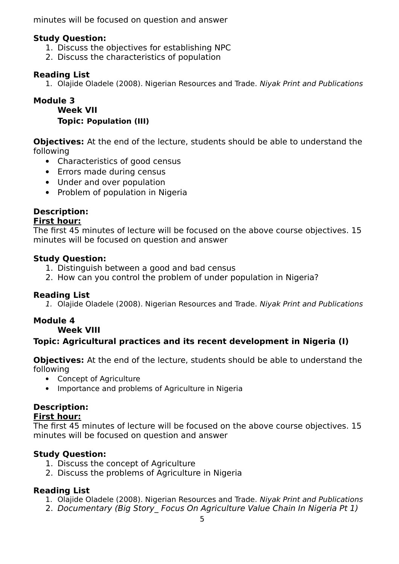minutes will be focused on question and answer

#### **Study Question:**

- 1. Discuss the objectives for establishing NPC
- 2. Discuss the characteristics of population

#### **Reading List**

1. Olajide Oladele (2008). Nigerian Resources and Trade. Niyak Print and Publications

#### **Module 3**

**Week VII Topic: Population (III)**

**Objectives:** At the end of the lecture, students should be able to understand the following

- Characteristics of good census
- Errors made during census
- Under and over population
- Problem of population in Nigeria

## **Description:**

#### **First hour:**

The first 45 minutes of lecture will be focused on the above course objectives. 15 minutes will be focused on question and answer

#### **Study Question:**

- 1. Distinguish between a good and bad census
- 2. How can you control the problem of under population in Nigeria?

#### **Reading List**

1. Olajide Oladele (2008). Nigerian Resources and Trade. Niyak Print and Publications

#### **Module 4**

#### **Week VIII**

## **Topic: Agricultural practices and its recent development in Nigeria (I)**

**Objectives:** At the end of the lecture, students should be able to understand the following

- Concept of Agriculture
- Importance and problems of Agriculture in Nigeria

## **Description:**

#### **First hour:**

The first 45 minutes of lecture will be focused on the above course objectives. 15 minutes will be focused on question and answer

#### **Study Question:**

- 1. Discuss the concept of Agriculture
- 2. Discuss the problems of Agriculture in Nigeria

#### **Reading List**

- 1. Olajide Oladele (2008). Nigerian Resources and Trade. Niyak Print and Publications
- 2. Documentary (Big Story Focus On Agriculture Value Chain In Nigeria Pt 1)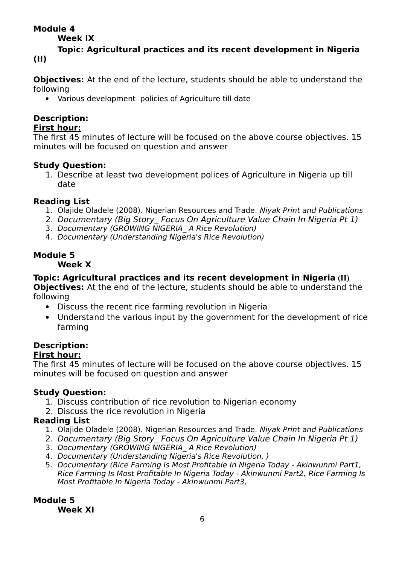## **Module 4**

**Week IX**

**Topic: Agricultural practices and its recent development in Nigeria (II)**

**Objectives:** At the end of the lecture, students should be able to understand the following

Various development policies of Agriculture till date

## **Description:**

#### **First hour:**

The first 45 minutes of lecture will be focused on the above course objectives. 15 minutes will be focused on question and answer

#### **Study Question:**

1. Describe at least two development polices of Agriculture in Nigeria up till date

## **Reading List**

- 1. Olajide Oladele (2008). Nigerian Resources and Trade. Niyak Print and Publications
- 2. Documentary (Big Story\_ Focus On Agriculture Value Chain In Nigeria Pt 1)
- 3. Documentary (GROWING NIGERIA A Rice Revolution)
- 4. Documentary (Understanding Nigeria's Rice Revolution)

## **Module 5**

#### **Week X**

## **Topic: Agricultural practices and its recent development in Nigeria (II)**

**Objectives:** At the end of the lecture, students should be able to understand the following

- Discuss the recent rice farming revolution in Nigeria
- Understand the various input by the government for the development of rice farming

## **Description:**

## **First hour:**

The first 45 minutes of lecture will be focused on the above course objectives. 15 minutes will be focused on question and answer

## **Study Question:**

- 1. Discuss contribution of rice revolution to Nigerian economy
- 2. Discuss the rice revolution in Nigeria

## **Reading List**

- 1. Olajide Oladele (2008). Nigerian Resources and Trade. Niyak Print and Publications
- 2. Documentary (Big Story Focus On Agriculture Value Chain In Nigeria Pt 1)
- 3. Documentary (GROWING NIGERIA\_A Rice Revolution)
- 4. Documentary (Understanding Nigeria's Rice Revolution, )
- 5. Documentary (Rice Farming Is Most Profitable In Nigeria Today Akinwunmi Part1, Rice Farming Is Most Profitable In Nigeria Today - Akinwunmi Part2, Rice Farming Is Most Profitable In Nigeria Today - Akinwunmi Part3,

#### **Module 5 Week XI**